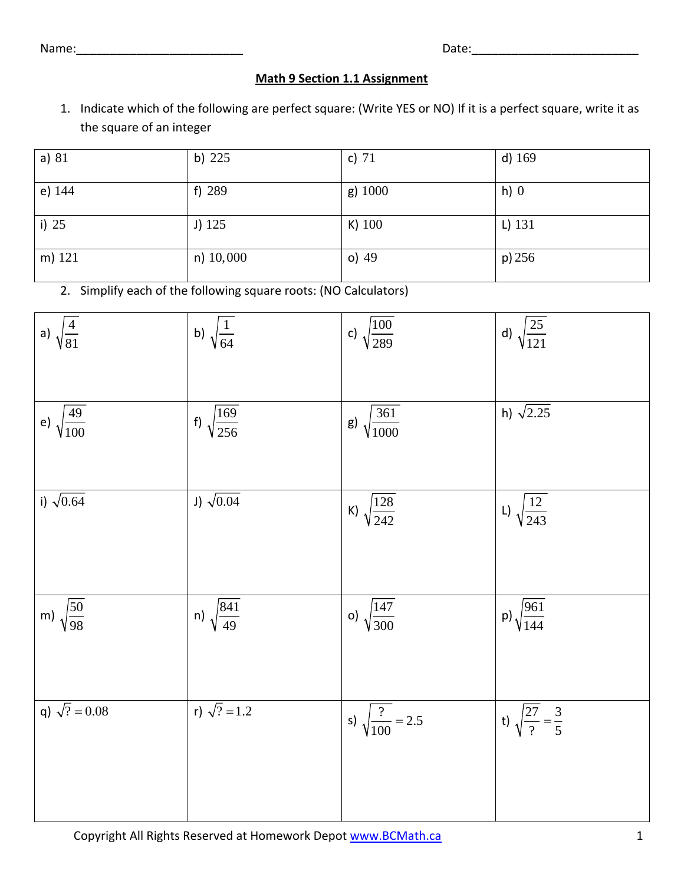Name: where  $\blacksquare$ 

## **Math 9 Section 1.1 Assignment**

1. Indicate which of the following are perfect square: (Write YES or NO) If it is a perfect square, write it as the square of an integer

| a) $81$ | b) $225$    | c) $71$   | d) $169$  |
|---------|-------------|-----------|-----------|
| e) 144  | f) $289$    | $g)$ 1000 | $h)$ 0    |
| i) $25$ | J) 125      | $K)$ 100  | $L)$ 131  |
| m) 121  | $n)$ 10,000 | $o)$ 49   | $p$ ) 256 |

2. Simplify each of the following square roots: (NO Calculators)

| a) $\sqrt{\frac{4}{81}}$   | b) $\sqrt{\frac{1}{64}}$    | c) $\sqrt{\frac{100}{289}}$     | d) $\sqrt{\frac{25}{121}}$             |
|----------------------------|-----------------------------|---------------------------------|----------------------------------------|
| e) $\sqrt{\frac{49}{100}}$ | f) $\sqrt{\frac{169}{256}}$ | g) $\sqrt{\frac{361}{1000}}$    | h) $\sqrt{2.25}$                       |
| i) $\sqrt{0.64}$           | J) $\sqrt{0.04}$            |                                 |                                        |
|                            |                             | K) $\sqrt{\frac{128}{242}}$     | L) $\sqrt{\frac{12}{243}}$             |
| m) $\sqrt{\frac{50}{98}}$  | $\frac{1}{\sqrt{841}}$      | o) $\sqrt{\frac{147}{300}}$     | p) $\sqrt{\frac{961}{144}}$            |
| q) $\sqrt{?} = 0.08$       | r) $\sqrt{?} = 1.2$         | s) $\sqrt{\frac{?}{100}} = 2.5$ | t) $\sqrt{\frac{27}{?}} = \frac{3}{5}$ |
|                            |                             |                                 |                                        |